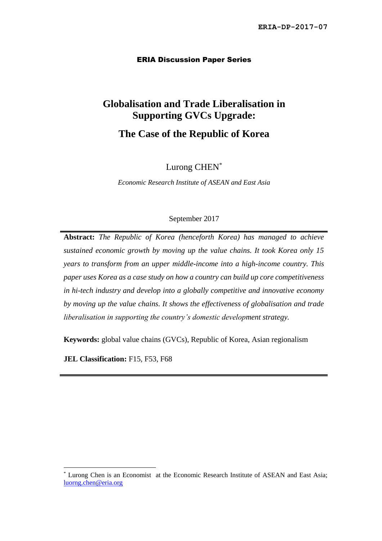#### ERIA Discussion Paper Series

# **Globalisation and Trade Liberalisation in Supporting GVCs Upgrade:**

## **The Case of the Republic of Korea**

Lurong CHEN\*

*Economic Research Institute of ASEAN and East Asia*

#### September 2017

**Abstract:** *The Republic of Korea (henceforth Korea) has managed to achieve sustained economic growth by moving up the value chains. It took Korea only 15 years to transform from an upper middle-income into a high-income country. This paper uses Korea as a case study on how a country can build up core competitiveness in hi-tech industry and develop into a globally competitive and innovative economy by moving up the value chains. It shows the effectiveness of globalisation and trade liberalisation in supporting the country's domestic development strategy.*

**Keywords:** global value chains (GVCs), Republic of Korea, Asian regionalism

**JEL Classification:** F15, F53, F68

Lurong Chen is an Economist at the Economic Research Institute of ASEAN and East Asia; [luorng.chen@eria.org](mailto:luorng.chen@eria.org)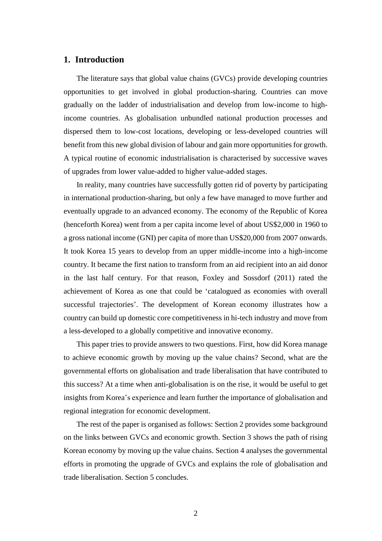### **1. Introduction**

The literature says that global value chains (GVCs) provide developing countries opportunities to get involved in global production-sharing. Countries can move gradually on the ladder of industrialisation and develop from low-income to highincome countries. As globalisation unbundled national production processes and dispersed them to low-cost locations, developing or less-developed countries will benefit from this new global division of labour and gain more opportunities for growth. A typical routine of economic industrialisation is characterised by successive waves of upgrades from lower value-added to higher value-added stages.

In reality, many countries have successfully gotten rid of poverty by participating in international production-sharing, but only a few have managed to move further and eventually upgrade to an advanced economy. The economy of the Republic of Korea (henceforth Korea) went from a per capita income level of about US\$2,000 in 1960 to a gross national income (GNI) per capita of more than US\$20,000 from 2007 onwards. It took Korea 15 years to develop from an upper middle-income into a high-income country. It became the first nation to transform from an aid recipient into an aid donor in the last half century. For that reason, Foxley and Sossdorf (2011) rated the achievement of Korea as one that could be 'catalogued as economies with overall successful trajectories'. The development of Korean economy illustrates how a country can build up domestic core competitiveness in hi-tech industry and move from a less-developed to a globally competitive and innovative economy.

This paper tries to provide answers to two questions. First, how did Korea manage to achieve economic growth by moving up the value chains? Second, what are the governmental efforts on globalisation and trade liberalisation that have contributed to this success? At a time when anti-globalisation is on the rise, it would be useful to get insights from Korea's experience and learn further the importance of globalisation and regional integration for economic development.

The rest of the paper is organised as follows: Section 2 provides some background on the links between GVCs and economic growth. Section 3 shows the path of rising Korean economy by moving up the value chains. Section 4 analyses the governmental efforts in promoting the upgrade of GVCs and explains the role of globalisation and trade liberalisation. Section 5 concludes.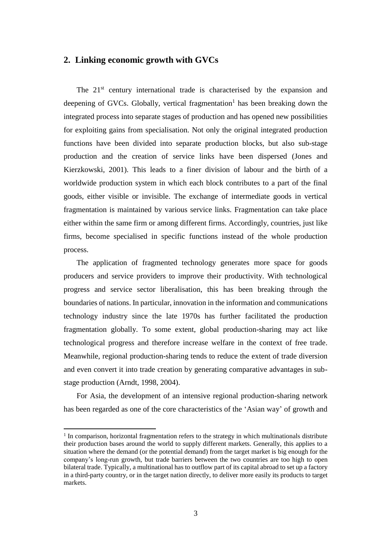#### **2. Linking economic growth with GVCs**

The  $21<sup>st</sup>$  century international trade is characterised by the expansion and deepening of GVCs. Globally, vertical fragmentation<sup>1</sup> has been breaking down the integrated process into separate stages of production and has opened new possibilities for exploiting gains from specialisation. Not only the original integrated production functions have been divided into separate production blocks, but also sub-stage production and the creation of service links have been dispersed (Jones and Kierzkowski, 2001). This leads to a finer division of labour and the birth of a worldwide production system in which each block contributes to a part of the final goods, either visible or invisible. The exchange of intermediate goods in vertical fragmentation is maintained by various service links. Fragmentation can take place either within the same firm or among different firms. Accordingly, countries, just like firms, become specialised in specific functions instead of the whole production process.

The application of fragmented technology generates more space for goods producers and service providers to improve their productivity. With technological progress and service sector liberalisation, this has been breaking through the boundaries of nations. In particular, innovation in the information and communications technology industry since the late 1970s has further facilitated the production fragmentation globally. To some extent, global production-sharing may act like technological progress and therefore increase welfare in the context of free trade. Meanwhile, regional production-sharing tends to reduce the extent of trade diversion and even convert it into trade creation by generating comparative advantages in substage production (Arndt, 1998, 2004).

For Asia, the development of an intensive regional production-sharing network has been regarded as one of the core characteristics of the 'Asian way' of growth and

<sup>&</sup>lt;sup>1</sup> In comparison, horizontal fragmentation refers to the strategy in which multinationals distribute their production bases around the world to supply different markets. Generally, this applies to a situation where the demand (or the potential demand) from the target market is big enough for the company's long-run growth, but trade barriers between the two countries are too high to open bilateral trade. Typically, a multinational has to outflow part of its capital abroad to set up a factory in a third-party country, or in the target nation directly, to deliver more easily its products to target markets.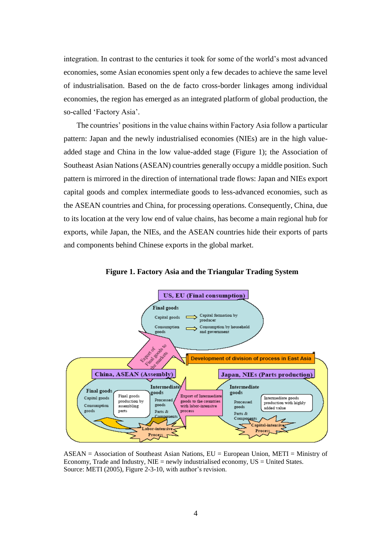integration. In contrast to the centuries it took for some of the world's most advanced economies, some Asian economies spent only a few decades to achieve the same level of industrialisation. Based on the de facto cross-border linkages among individual economies, the region has emerged as an integrated platform of global production, the so-called 'Factory Asia'.

The countries' positions in the value chains within Factory Asia follow a particular pattern: Japan and the newly industrialised economies (NIEs) are in the high valueadded stage and China in the low value-added stage (Figure 1); the Association of Southeast Asian Nations (ASEAN) countries generally occupy a middle position. Such pattern is mirrored in the direction of international trade flows: Japan and NIEs export capital goods and complex intermediate goods to less-advanced economies, such as the ASEAN countries and China, for processing operations. Consequently, China, due to its location at the very low end of value chains, has become a main regional hub for exports, while Japan, the NIEs, and the ASEAN countries hide their exports of parts and components behind Chinese exports in the global market.



**Figure 1. Factory Asia and the Triangular Trading System**

ASEAN = Association of Southeast Asian Nations, EU = European Union, METI = Ministry of Economy, Trade and Industry,  $NIE = newly$  industrialised economy,  $US = United States$ . Source: METI (2005), Figure 2-3-10, with author's revision.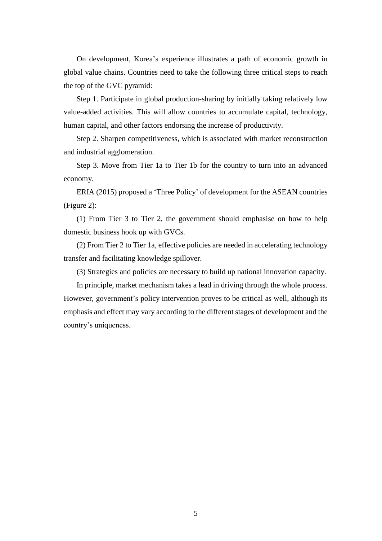On development, Korea's experience illustrates a path of economic growth in global value chains. Countries need to take the following three critical steps to reach the top of the GVC pyramid:

Step 1. Participate in global production-sharing by initially taking relatively low value-added activities. This will allow countries to accumulate capital, technology, human capital, and other factors endorsing the increase of productivity.

Step 2. Sharpen competitiveness, which is associated with market reconstruction and industrial agglomeration.

Step 3. Move from Tier 1a to Tier 1b for the country to turn into an advanced economy.

ERIA (2015) proposed a 'Three Policy' of development for the ASEAN countries (Figure 2):

(1) From Tier 3 to Tier 2, the government should emphasise on how to help domestic business hook up with GVCs.

(2) From Tier 2 to Tier 1a, effective policies are needed in accelerating technology transfer and facilitating knowledge spillover.

(3) Strategies and policies are necessary to build up national innovation capacity.

In principle, market mechanism takes a lead in driving through the whole process. However, government's policy intervention proves to be critical as well, although its emphasis and effect may vary according to the different stages of development and the country's uniqueness.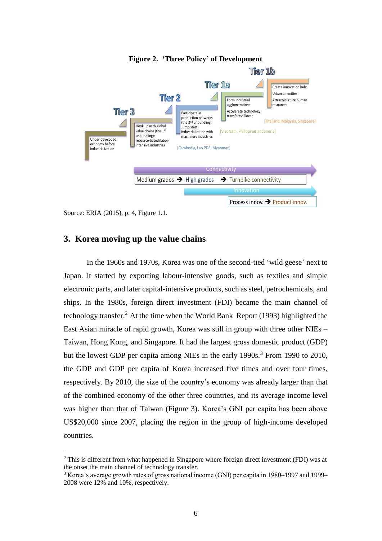

**Figure 2. 'Three Policy' of Development**

Source: ERIA (2015), p. 4, Figure 1.1.

 $\overline{a}$ 

## **3. Korea moving up the value chains**

In the 1960s and 1970s, Korea was one of the second-tied 'wild geese' next to Japan. It started by exporting labour-intensive goods, such as textiles and simple electronic parts, and later capital-intensive products, such as steel, petrochemicals, and ships. In the 1980s, foreign direct investment (FDI) became the main channel of technology transfer.<sup>2</sup> At the time when the World Bank Report (1993) highlighted the East Asian miracle of rapid growth, Korea was still in group with three other NIEs – Taiwan, Hong Kong, and Singapore. It had the largest gross domestic product (GDP) but the lowest GDP per capita among NIEs in the early 1990s.<sup>3</sup> From 1990 to 2010, the GDP and GDP per capita of Korea increased five times and over four times, respectively. By 2010, the size of the country's economy was already larger than that of the combined economy of the other three countries, and its average income level was higher than that of Taiwan (Figure 3). Korea's GNI per capita has been above US\$20,000 since 2007, placing the region in the group of high-income developed countries.

<sup>2</sup> This is different from what happened in Singapore where foreign direct investment (FDI) was at the onset the main channel of technology transfer.

<sup>&</sup>lt;sup>3</sup> Korea's average growth rates of gross national income (GNI) per capita in 1980–1997 and 1999– 2008 were 12% and 10%, respectively.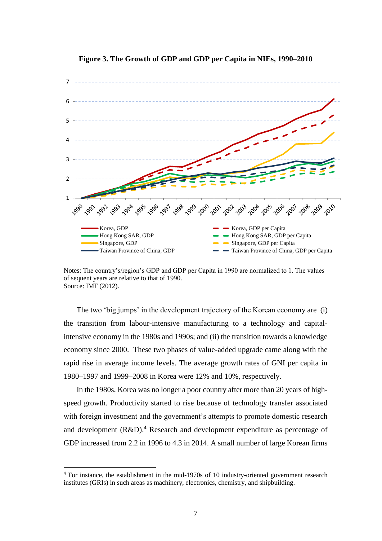



Notes: The country's/region's GDP and GDP per Capita in 1990 are normalized to 1. The values of sequent years are relative to that of 1990. Source: IMF (2012).

The two 'big jumps' in the development trajectory of the Korean economy are (i) the transition from labour-intensive manufacturing to a technology and capitalintensive economy in the 1980s and 1990s; and (ii) the transition towards a knowledge economy since 2000. These two phases of value-added upgrade came along with the rapid rise in average income levels. The average growth rates of GNI per capita in 1980–1997 and 1999–2008 in Korea were 12% and 10%, respectively.

In the 1980s, Korea was no longer a poor country after more than 20 years of highspeed growth. Productivity started to rise because of technology transfer associated with foreign investment and the government's attempts to promote domestic research and development  $(R&D)^4$  Research and development expenditure as percentage of GDP increased from 2.2 in 1996 to 4.3 in 2014. A small number of large Korean firms

<sup>4</sup> For instance, the establishment in the mid-1970s of 10 industry-oriented government research institutes (GRIs) in such areas as machinery, electronics, chemistry, and shipbuilding.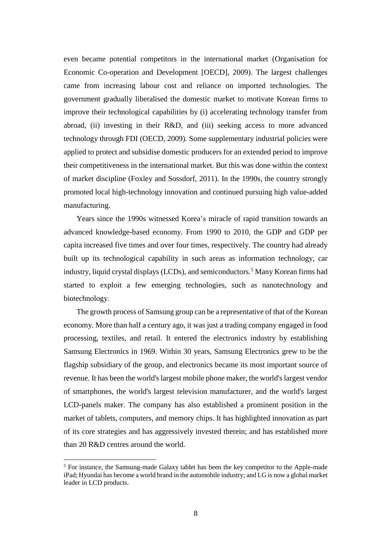even became potential competitors in the international market (Organisation for Economic Co-operation and Development [OECD], 2009). The largest challenges came from increasing labour cost and reliance on imported technologies. The government gradually liberalised the domestic market to motivate Korean firms to improve their technological capabilities by (i) accelerating technology transfer from abroad, (ii) investing in their R&D, and (iii) seeking access to more advanced technology through FDI (OECD, 2009). Some supplementary industrial policies were applied to protect and subsidise domestic producers for an extended period to improve their competitiveness in the international market. But this was done within the context of market discipline (Foxley and Sossdorf, 2011). In the 1990s, the country strongly promoted local high-technology innovation and continued pursuing high value-added manufacturing.

Years since the 1990s witnessed Korea's miracle of rapid transition towards an advanced knowledge-based economy. From 1990 to 2010, the GDP and GDP per capita increased five times and over four times, respectively. The country had already built up its technological capability in such areas as information technology, car industry, liquid crystal displays (LCDs), and semiconductors.<sup>5</sup> Many Korean firms had started to exploit a few emerging technologies, such as nanotechnology and biotechnology.

The growth process of Samsung group can be a representative of that of the Korean economy. More than half a century ago, it was just a trading company engaged in food processing, textiles, and retail. It entered the electronics industry by establishing Samsung Electronics in 1969. Within 30 years, Samsung Electronics grew to be the flagship subsidiary of the group, and electronics became its most important source of revenue. It has been the world's largest mobile phone maker, the world's largest vendor of smartphones, the world's largest television manufacturer, and the world's largest LCD-panels maker. The company has also established a prominent position in the market of tablets, computers, and memory chips. It has highlighted innovation as part of its core strategies and has aggressively invested therein; and has established more than 20 R&D centres around the world.

<sup>5</sup> For instance, the Samsung-made Galaxy tablet has been the key competitor to the Apple-made iPad; Hyundai has become a world brand in the automobile industry; and LG is now a global market leader in LCD products.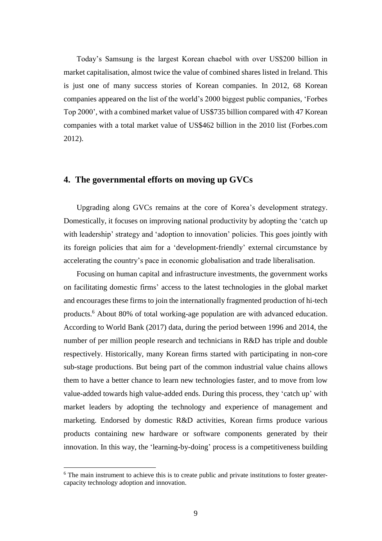Today's Samsung is the largest Korean chaebol with over US\$200 billion in market capitalisation, almost twice the value of combined shares listed in Ireland. This is just one of many success stories of Korean companies. In 2012, 68 Korean companies appeared on the list of the world's 2000 biggest public companies, 'Forbes Top 2000', with a combined market value of US\$735 billion compared with 47 Korean companies with a total market value of US\$462 billion in the 2010 list (Forbes.com 2012).

## **4. The governmental efforts on moving up GVCs**

Upgrading along GVCs remains at the core of Korea's development strategy. Domestically, it focuses on improving national productivity by adopting the 'catch up with leadership' strategy and 'adoption to innovation' policies. This goes jointly with its foreign policies that aim for a 'development-friendly' external circumstance by accelerating the country's pace in economic globalisation and trade liberalisation.

Focusing on human capital and infrastructure investments, the government works on facilitating domestic firms' access to the latest technologies in the global market and encourages these firms to join the internationally fragmented production of hi-tech products.<sup>6</sup> About 80% of total working-age population are with advanced education. According to World Bank (2017) data, during the period between 1996 and 2014, the number of per million people research and technicians in R&D has triple and double respectively. Historically, many Korean firms started with participating in non-core sub-stage productions. But being part of the common industrial value chains allows them to have a better chance to learn new technologies faster, and to move from low value-added towards high value-added ends. During this process, they 'catch up' with market leaders by adopting the technology and experience of management and marketing. Endorsed by domestic R&D activities, Korean firms produce various products containing new hardware or software components generated by their innovation. In this way, the 'learning-by-doing' process is a competitiveness building

<sup>&</sup>lt;sup>6</sup> The main instrument to achieve this is to create public and private institutions to foster greatercapacity technology adoption and innovation.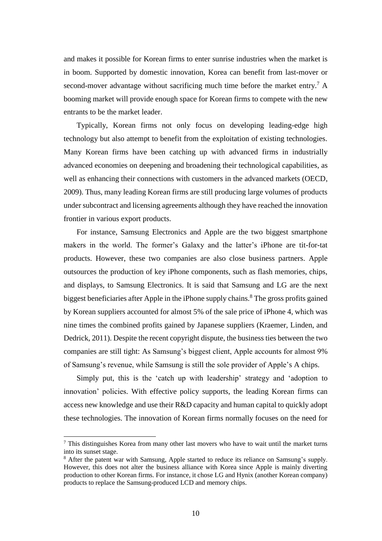and makes it possible for Korean firms to enter sunrise industries when the market is in boom. Supported by domestic innovation, Korea can benefit from last-mover or second-mover advantage without sacrificing much time before the market entry.<sup>7</sup> A booming market will provide enough space for Korean firms to compete with the new entrants to be the market leader.

Typically, Korean firms not only focus on developing leading-edge high technology but also attempt to benefit from the exploitation of existing technologies. Many Korean firms have been catching up with advanced firms in industrially advanced economies on deepening and broadening their technological capabilities, as well as enhancing their connections with customers in the advanced markets (OECD, 2009). Thus, many leading Korean firms are still producing large volumes of products under subcontract and licensing agreements although they have reached the innovation frontier in various export products.

For instance, Samsung Electronics and Apple are the two biggest smartphone makers in the world. The former's Galaxy and the latter's iPhone are tit-for-tat products. However, these two companies are also close business partners. Apple outsources the production of key iPhone components, such as flash memories, chips, and displays, to Samsung Electronics. It is said that Samsung and LG are the next biggest beneficiaries after Apple in the iPhone supply chains. $8$  The gross profits gained by Korean suppliers accounted for almost 5% of the sale price of iPhone 4, which was nine times the combined profits gained by Japanese suppliers (Kraemer, Linden, and Dedrick, 2011). Despite the recent copyright dispute, the business ties between the two companies are still tight: As Samsung's biggest client, Apple accounts for almost 9% of Samsung's revenue, while Samsung is still the sole provider of Apple's A chips.

Simply put, this is the 'catch up with leadership' strategy and 'adoption to innovation' policies. With effective policy supports, the leading Korean firms can access new knowledge and use their R&D capacity and human capital to quickly adopt these technologies. The innovation of Korean firms normally focuses on the need for

 $<sup>7</sup>$  This distinguishes Korea from many other last movers who have to wait until the market turns</sup> into its sunset stage.

<sup>8</sup> After the patent war with Samsung, Apple started to reduce its reliance on Samsung's supply. However, this does not alter the business alliance with Korea since Apple is mainly diverting production to other Korean firms. For instance, it chose LG and Hynix (another Korean company) products to replace the Samsung-produced LCD and memory chips.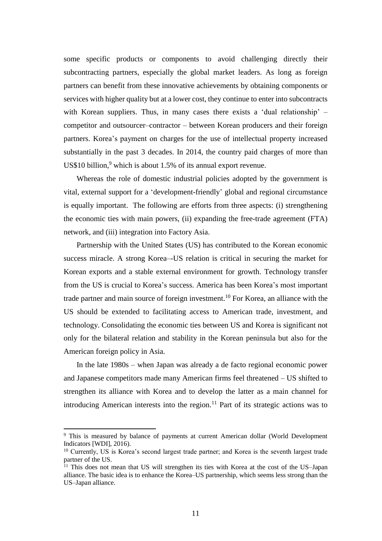some specific products or components to avoid challenging directly their subcontracting partners, especially the global market leaders. As long as foreign partners can benefit from these innovative achievements by obtaining components or services with higher quality but at a lower cost, they continue to enter into subcontracts with Korean suppliers. Thus, in many cases there exists a 'dual relationship' – competitor and outsourcer–contractor – between Korean producers and their foreign partners. Korea's payment on charges for the use of intellectual property increased substantially in the past 3 decades. In 2014, the country paid charges of more than US\$10 billion, <sup>9</sup> which is about 1.5% of its annual export revenue.

Whereas the role of domestic industrial policies adopted by the government is vital, external support for a 'development-friendly' global and regional circumstance is equally important. The following are efforts from three aspects: (i) strengthening the economic ties with main powers, (ii) expanding the free-trade agreement (FTA) network, and (iii) integration into Factory Asia.

Partnership with the United States (US) has contributed to the Korean economic success miracle. A strong Korea–-US relation is critical in securing the market for Korean exports and a stable external environment for growth. Technology transfer from the US is crucial to Korea's success. America has been Korea's most important trade partner and main source of foreign investment.<sup>10</sup> For Korea, an alliance with the US should be extended to facilitating access to American trade, investment, and technology. Consolidating the economic ties between US and Korea is significant not only for the bilateral relation and stability in the Korean peninsula but also for the American foreign policy in Asia.

In the late 1980s – when Japan was already a de facto regional economic power and Japanese competitors made many American firms feel threatened – US shifted to strengthen its alliance with Korea and to develop the latter as a main channel for introducing American interests into the region.<sup>11</sup> Part of its strategic actions was to

<sup>&</sup>lt;sup>9</sup> This is measured by balance of payments at current American dollar (World Development Indicators [WDI], 2016).

<sup>&</sup>lt;sup>10</sup> Currently, US is Korea's second largest trade partner; and Korea is the seventh largest trade partner of the US.

<sup>&</sup>lt;sup>11</sup> This does not mean that US will strengthen its ties with Korea at the cost of the US–Japan alliance. The basic idea is to enhance the Korea–US partnership, which seems less strong than the US–Japan alliance.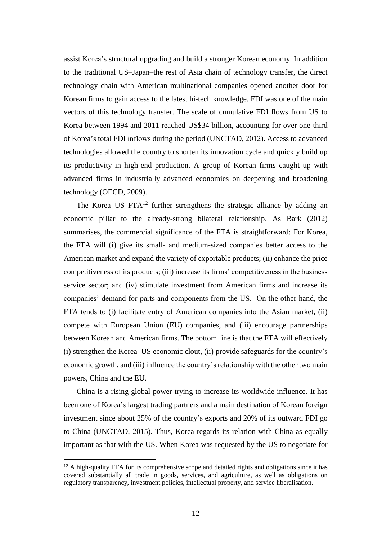assist Korea's structural upgrading and build a stronger Korean economy. In addition to the traditional US–Japan–the rest of Asia chain of technology transfer, the direct technology chain with American multinational companies opened another door for Korean firms to gain access to the latest hi-tech knowledge. FDI was one of the main vectors of this technology transfer. The scale of cumulative FDI flows from US to Korea between 1994 and 2011 reached US\$34 billion, accounting for over one-third of Korea's total FDI inflows during the period (UNCTAD, 2012). Access to advanced technologies allowed the country to shorten its innovation cycle and quickly build up its productivity in high-end production. A group of Korean firms caught up with advanced firms in industrially advanced economies on deepening and broadening technology (OECD, 2009).

The Korea–US  $FTA^{12}$  further strengthens the strategic alliance by adding an economic pillar to the already-strong bilateral relationship. As Bark (2012) summarises, the commercial significance of the FTA is straightforward: For Korea, the FTA will (i) give its small- and medium-sized companies better access to the American market and expand the variety of exportable products; (ii) enhance the price competitiveness of its products; (iii) increase its firms' competitiveness in the business service sector; and (iv) stimulate investment from American firms and increase its companies' demand for parts and components from the US. On the other hand, the FTA tends to (i) facilitate entry of American companies into the Asian market, (ii) compete with European Union (EU) companies, and (iii) encourage partnerships between Korean and American firms. The bottom line is that the FTA will effectively (i) strengthen the Korea–US economic clout, (ii) provide safeguards for the country's economic growth, and (iii) influence the country's relationship with the other two main powers, China and the EU.

China is a rising global power trying to increase its worldwide influence. It has been one of Korea's largest trading partners and a main destination of Korean foreign investment since about 25% of the country's exports and 20% of its outward FDI go to China (UNCTAD, 2015). Thus, Korea regards its relation with China as equally important as that with the US. When Korea was requested by the US to negotiate for

<sup>&</sup>lt;sup>12</sup> A high-quality FTA for its comprehensive scope and detailed rights and obligations since it has covered substantially all trade in goods, services, and agriculture, as well as obligations on regulatory transparency, investment policies, intellectual property, and service liberalisation.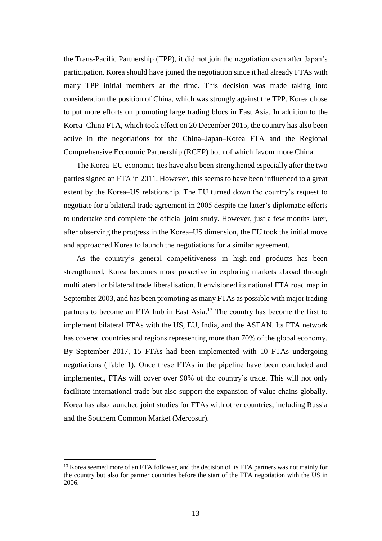the Trans-Pacific Partnership (TPP), it did not join the negotiation even after Japan's participation. Korea should have joined the negotiation since it had already FTAs with many TPP initial members at the time. This decision was made taking into consideration the position of China, which was strongly against the TPP. Korea chose to put more efforts on promoting large trading blocs in East Asia. In addition to the Korea–China FTA, which took effect on 20 December 2015, the country has also been active in the negotiations for the China–Japan–Korea FTA and the Regional Comprehensive Economic Partnership (RCEP) both of which favour more China.

The Korea–EU economic ties have also been strengthened especially after the two parties signed an FTA in 2011. However, this seems to have been influenced to a great extent by the Korea–US relationship. The EU turned down the country's request to negotiate for a bilateral trade agreement in 2005 despite the latter's diplomatic efforts to undertake and complete the official joint study. However, just a few months later, after observing the progress in the Korea–US dimension, the EU took the initial move and approached Korea to launch the negotiations for a similar agreement.

As the country's general competitiveness in high-end products has been strengthened, Korea becomes more proactive in exploring markets abroad through multilateral or bilateral trade liberalisation. It envisioned its national FTA road map in September 2003, and has been promoting as many FTAs as possible with major trading partners to become an FTA hub in East Asia.<sup>13</sup> The country has become the first to implement bilateral FTAs with the US, EU, India, and the ASEAN. Its FTA network has covered countries and regions representing more than 70% of the global economy. By September 2017, 15 FTAs had been implemented with 10 FTAs undergoing negotiations (Table 1). Once these FTAs in the pipeline have been concluded and implemented, FTAs will cover over 90% of the country's trade. This will not only facilitate international trade but also support the expansion of value chains globally. Korea has also launched joint studies for FTAs with other countries, including Russia and the Southern Common Market (Mercosur).

<sup>&</sup>lt;sup>13</sup> Korea seemed more of an FTA follower, and the decision of its FTA partners was not mainly for the country but also for partner countries before the start of the FTA negotiation with the US in 2006.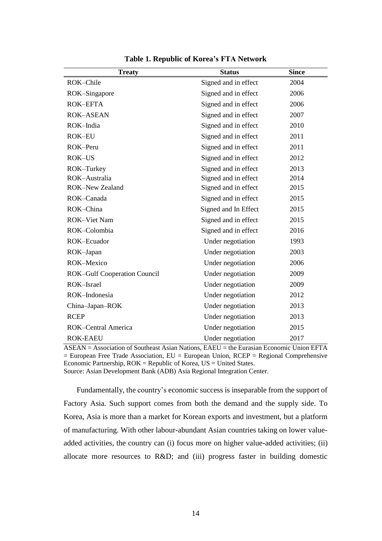| <b>Treaty</b>                       | <b>Status</b>        | <b>Since</b> |
|-------------------------------------|----------------------|--------------|
| ROK-Chile                           | Signed and in effect | 2004         |
| ROK-Singapore                       | Signed and in effect | 2006         |
| <b>ROK-EFTA</b>                     | Signed and in effect | 2006         |
| <b>ROK-ASEAN</b>                    | Signed and in effect | 2007         |
| ROK-India                           | Signed and in effect | 2010         |
| <b>ROK-EU</b>                       | Signed and in effect | 2011         |
| ROK-Peru                            | Signed and in effect | 2011         |
| <b>ROK-US</b>                       | Signed and in effect | 2012         |
| ROK-Turkey                          | Signed and in effect | 2013         |
| ROK-Australia                       | Signed and in effect | 2014         |
| <b>ROK-New Zealand</b>              | Signed and in effect | 2015         |
| ROK-Canada                          | Signed and in effect | 2015         |
| ROK-China                           | Signed and In Effect | 2015         |
| <b>ROK-Viet Nam</b>                 | Signed and in effect | 2015         |
| ROK-Colombia                        | Signed and in effect | 2016         |
| ROK-Ecuador                         | Under negotiation    | 1993         |
| ROK-Japan                           | Under negotiation    | 2003         |
| ROK-Mexico                          | Under negotiation    | 2006         |
| <b>ROK-Gulf Cooperation Council</b> | Under negotiation    | 2009         |
| ROK-Israel                          | Under negotiation    | 2009         |
| ROK-Indonesia                       | Under negotiation    | 2012         |
| China-Japan-ROK                     | Under negotiation    | 2013         |
| <b>RCEP</b>                         | Under negotiation    | 2013         |
| <b>ROK-Central America</b>          | Under negotiation    | 2015         |
| <b>ROK-EAEU</b>                     | Under negotiation    | 2017         |

**Table 1. Republic of Korea's FTA Network**

ASEAN = Association of Southeast Asian Nations, EAEU = the Eurasian Economic Union EFTA  $=$  European Free Trade Association, EU  $=$  European Union, RCEP  $=$  Regional Comprehensive Economic Partnership,  $ROK = Republic$  of Korea,  $US = United States$ .

Source: Asian Development Bank (ADB) Asia Regional Integration Center.

Fundamentally, the country's economic success is inseparable from the support of Factory Asia. Such support comes from both the demand and the supply side. To Korea, Asia is more than a market for Korean exports and investment, but a platform of manufacturing. With other labour-abundant Asian countries taking on lower valueadded activities, the country can (i) focus more on higher value-added activities; (ii) allocate more resources to R&D; and (iii) progress faster in building domestic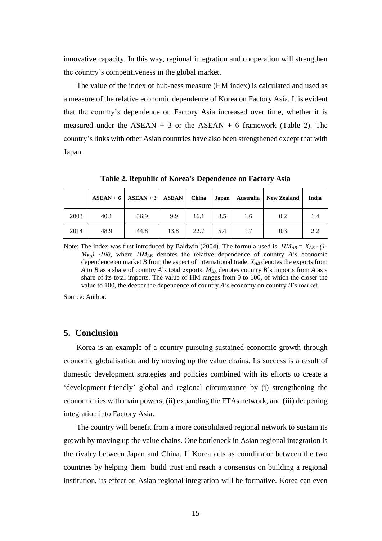innovative capacity. In this way, regional integration and cooperation will strengthen the country's competitiveness in the global market.

The value of the index of hub-ness measure (HM index) is calculated and used as a measure of the relative economic dependence of Korea on Factory Asia. It is evident that the country's dependence on Factory Asia increased over time, whether it is measured under the ASEAN  $+$  3 or the ASEAN  $+$  6 framework (Table 2). The country's links with other Asian countries have also been strengthened except that with Japan.

**Table 2. Republic of Korea's Dependence on Factory Asia**

|      |      | $ASEAN + 6$   ASEAN + 3   ASEAN   China |      |      |     |     | Japan   Australia   New Zealand | India |
|------|------|-----------------------------------------|------|------|-----|-----|---------------------------------|-------|
| 2003 | 40.1 | 36.9                                    | 9.9  | 16.1 | 8.5 | 1.6 | 0.2                             | 1.4   |
| 2014 | 48.9 | 44.8                                    | 13.8 | 22.7 | 5.4 | 1.7 | 0.3                             | 2.2   |

Note: The index was first introduced by Baldwin (2004). The formula used is:  $HM_{AB} = X_{AB} \cdot (1-\frac{1}{2})$ *M*<sub>BA</sub> $)$  ⋅100, where *HM*<sub>AB</sub> denotes the relative dependence of country *A*'s economic dependence on market *B* from the aspect of international trade. *XAB* denotes the exports from *A* to *B* as a share of country *A*'s total exports; *MBA* denotes country *B*'s imports from *A* as a share of its total imports. The value of HM ranges from 0 to 100, of which the closer the value to 100, the deeper the dependence of country *A*'s economy on country *B*'s market.

Source: Author.

#### **5. Conclusion**

Korea is an example of a country pursuing sustained economic growth through economic globalisation and by moving up the value chains. Its success is a result of domestic development strategies and policies combined with its efforts to create a 'development-friendly' global and regional circumstance by (i) strengthening the economic ties with main powers, (ii) expanding the FTAs network, and (iii) deepening integration into Factory Asia.

The country will benefit from a more consolidated regional network to sustain its growth by moving up the value chains. One bottleneck in Asian regional integration is the rivalry between Japan and China. If Korea acts as coordinator between the two countries by helping them build trust and reach a consensus on building a regional institution, its effect on Asian regional integration will be formative. Korea can even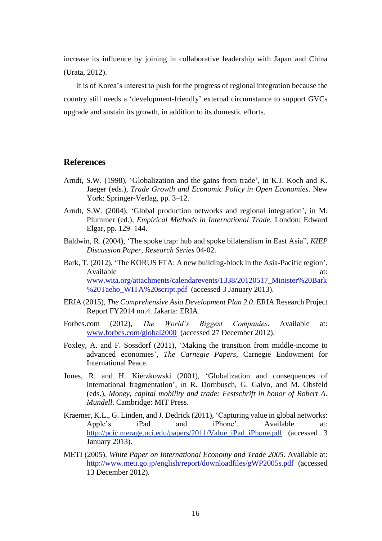increase its influence by joining in collaborative leadership with Japan and China (Urata, 2012).

It is of Korea's interest to push for the progress of regional integration because the country still needs a 'development-friendly' external circumstance to support GVCs upgrade and sustain its growth, in addition to its domestic efforts.

## **References**

- Arndt, S.W. (1998), 'Globalization and the gains from trade', in K.J. Koch and K. Jaeger (eds.), *Trade Growth and Economic Policy in Open Economies*. New York: Springer-Verlag, pp. 3–12.
- Arndt, S.W. (2004), 'Global production networks and regional integration', in M. Plummer (ed.), *Empirical Methods in International Trade.* London: Edward Elgar, pp. 129–144.
- Baldwin, R. (2004), 'The spoke trap: hub and spoke bilateralism in East Asia", *KIEP Discussion Paper*, *Research Series* 04-02.
- Bark, T. (2012), 'The KORUS FTA: A new building-block in the Asia-Pacific region'. Available at:  $\overline{a}$  at: [www.wita.org/attachments/calendarevents/1338/20120517\\_Minister%20Bark](http://www.wita.org/attachments/calendarevents/1338/20120517_Minister%20Bark%20Taeho_WITA%20script.pdf) [%20Taeho\\_WITA%20script.pdf](http://www.wita.org/attachments/calendarevents/1338/20120517_Minister%20Bark%20Taeho_WITA%20script.pdf) (accessed 3 January 2013).
- ERIA (2015), *The Comprehensive Asia Development Plan 2.0*. ERIA Research Project Report FY2014 no.4. Jakarta: ERIA.
- Forbes.com (2012), *The World's Biggest Companies*. Available at: [www.forbes.com/global2000](http://www.forbes.com/global2000) (accessed 27 December 2012).
- Foxley, A. and F. Sossdorf (2011), 'Making the transition from middle-income to advanced economies', *The Carnegie Papers*, Carnegie Endowment for International Peace.
- Jones, R. and H. Kierzkowski (2001), 'Globalization and consequences of international fragmentation', in R. Dornbusch, G. Galvo, and M. Obsfeld (eds.), *Money, capital mobility and trade: Festschrift in honor of Robert A. Mundell*. Cambridge: MIT Press.
- Kraemer, K.L., G. Linden, and J. Dedrick (2011), 'Capturing value in global networks: Apple's iPad and iPhone'. Available at: http:/[/pcic.merage.uci.edu/papers/2011/Value\\_iPad\\_iPhone.pdf](http://pcic.merage.uci.edu/papers/2011/Value_iPad_iPhone.pdf) (accessed 3 January 2013).
- METI (2005), *White Paper on International Economy and Trade 2005*. Available at: <http://www.meti.go.jp/english/report/downloadfiles/gWP2005s.pdf> (accessed 13 December 2012).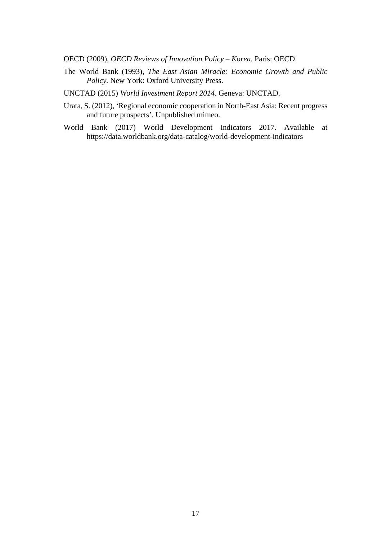OECD (2009), *OECD Reviews of Innovation Policy – Korea.* Paris: OECD.

The World Bank (1993), *The East Asian Miracle: Economic Growth and Public Policy.* New York: Oxford University Press.

UNCTAD (2015) *World Investment Report 2014*. Geneva: UNCTAD.

- Urata, S. (2012), 'Regional economic cooperation in North-East Asia: Recent progress and future prospects'. Unpublished mimeo.
- World Bank (2017) World Development Indicators 2017. Available at https://data.worldbank.org/data-catalog/world-development-indicators